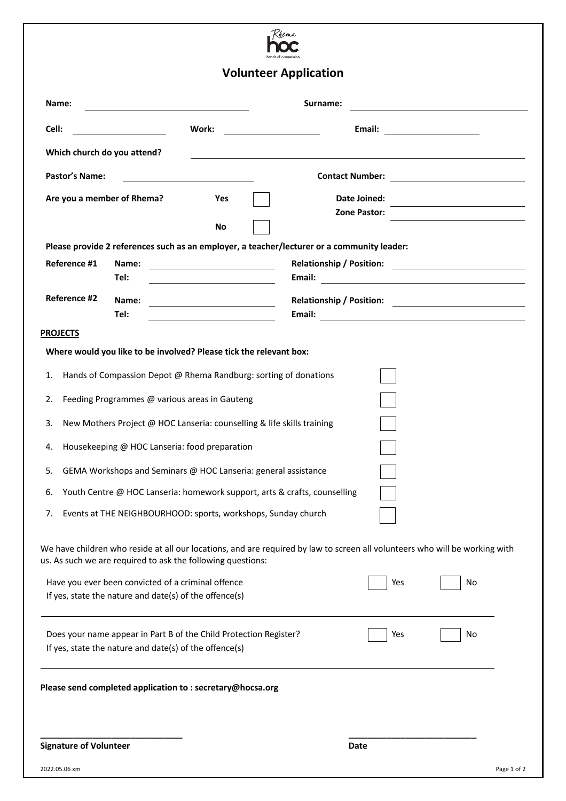

## **Volunteer Application**

|                                   |                                                                                                              |                                                                        | <b>volunteer Application</b>                                                                                                |                              |                                                                                                                                                                             |  |
|-----------------------------------|--------------------------------------------------------------------------------------------------------------|------------------------------------------------------------------------|-----------------------------------------------------------------------------------------------------------------------------|------------------------------|-----------------------------------------------------------------------------------------------------------------------------------------------------------------------------|--|
| Name:                             | Surname:                                                                                                     |                                                                        |                                                                                                                             |                              |                                                                                                                                                                             |  |
| Cell:                             | $\overline{\phantom{a}}$ . The contract of $\overline{\phantom{a}}$                                          | Work:                                                                  |                                                                                                                             | Email:                       |                                                                                                                                                                             |  |
| Which church do you attend?       |                                                                                                              |                                                                        | <u> 1980 - John Stone, amerikansk politiker (* 1900)</u>                                                                    |                              |                                                                                                                                                                             |  |
| <b>Pastor's Name:</b>             |                                                                                                              |                                                                        | <b>Contact Number:</b>                                                                                                      |                              | <u> 1980 - Jan Stein Stein Stein Stein Stein Stein Stein Stein Stein Stein Stein Stein Stein Stein Stein Stein S</u>                                                        |  |
| Are you a member of Rhema?<br>Yes |                                                                                                              |                                                                        |                                                                                                                             | Date Joined:<br>Zone Pastor: |                                                                                                                                                                             |  |
|                                   |                                                                                                              | No                                                                     | Please provide 2 references such as an employer, a teacher/lecturer or a community leader:                                  |                              |                                                                                                                                                                             |  |
| Reference #1                      | Name:<br>Tel:                                                                                                | <u> 1980 - Johann Barbara, martxa eta politikar</u>                    | <b>Relationship / Position:</b><br>Email:                                                                                   |                              | <u> Alexandria de la contrada de la contrada de la contrada de la contrada de la contrada de la contrada de la c</u><br><u> 1980 - Andrea Station, amerikansk politik (</u> |  |
| Reference #2                      | Name:<br>Tel:                                                                                                |                                                                        | <b>Relationship / Position:</b>                                                                                             |                              | <u> 1989 - Andrea Station Barbara, amerikan per</u><br>Email: <u>Alexander School (Alexander School)</u>                                                                    |  |
| <b>PROJECTS</b>                   |                                                                                                              |                                                                        |                                                                                                                             |                              |                                                                                                                                                                             |  |
|                                   |                                                                                                              | Where would you like to be involved? Please tick the relevant box:     |                                                                                                                             |                              |                                                                                                                                                                             |  |
| 1.                                |                                                                                                              | Hands of Compassion Depot @ Rhema Randburg: sorting of donations       |                                                                                                                             |                              |                                                                                                                                                                             |  |
| 2.                                | Feeding Programmes @ various areas in Gauteng                                                                |                                                                        |                                                                                                                             |                              |                                                                                                                                                                             |  |
| 3.                                |                                                                                                              | New Mothers Project @ HOC Lanseria: counselling & life skills training |                                                                                                                             |                              |                                                                                                                                                                             |  |
| 4.                                | Housekeeping @ HOC Lanseria: food preparation                                                                |                                                                        |                                                                                                                             |                              |                                                                                                                                                                             |  |
| 5.                                |                                                                                                              | GEMA Workshops and Seminars @ HOC Lanseria: general assistance         |                                                                                                                             |                              |                                                                                                                                                                             |  |
| 6.                                |                                                                                                              |                                                                        | Youth Centre @ HOC Lanseria: homework support, arts & crafts, counselling                                                   |                              |                                                                                                                                                                             |  |
| 7.                                |                                                                                                              | Events at THE NEIGHBOURHOOD: sports, workshops, Sunday church          |                                                                                                                             |                              |                                                                                                                                                                             |  |
|                                   |                                                                                                              | us. As such we are required to ask the following questions:            | We have children who reside at all our locations, and are required by law to screen all volunteers who will be working with |                              |                                                                                                                                                                             |  |
|                                   | Have you ever been convicted of a criminal offence<br>If yes, state the nature and date(s) of the offence(s) |                                                                        |                                                                                                                             | Yes                          | No                                                                                                                                                                          |  |
|                                   | If yes, state the nature and date(s) of the offence(s)                                                       | Does your name appear in Part B of the Child Protection Register?      |                                                                                                                             | Yes                          | No                                                                                                                                                                          |  |
|                                   |                                                                                                              | Please send completed application to: secretary@hocsa.org              |                                                                                                                             |                              |                                                                                                                                                                             |  |
| <b>Signature of Volunteer</b>     |                                                                                                              |                                                                        |                                                                                                                             | Date                         |                                                                                                                                                                             |  |
| 2022.05.06 xm                     |                                                                                                              |                                                                        |                                                                                                                             |                              | Page 1 of 2                                                                                                                                                                 |  |